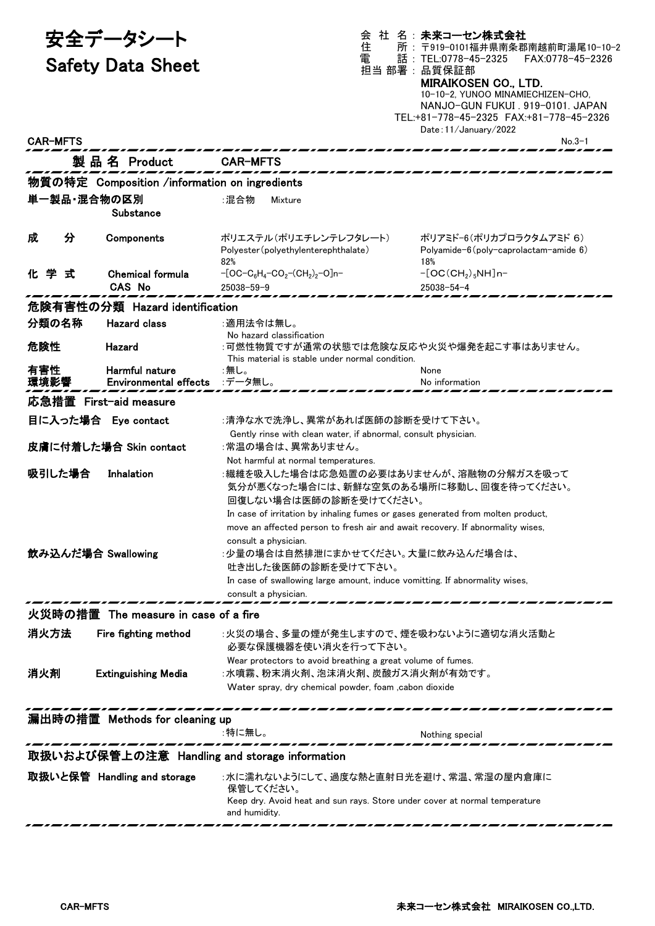| 安全データシート<br><b>Safety Data Sheet</b><br><b>CAR-MFTS</b> |                                                | 住<br>電                                                                                                                                                                                                                                                                                                                                                       | 会 社 名: 未来コーセン株式会社<br>所: 〒919-0101福井県南条郡南越前町湯尾10-10-2<br>話: TEL:0778-45-2325 FAX:0778-45-2326<br>担当 部署:品質保証部<br><b>MIRAIKOSEN CO., LTD.</b><br>10-10-2, YUNOO MINAMIECHIZEN-CHO,<br>NANJO-GUN FUKUI. 919-0101. JAPAN<br>TEL:+81-778-45-2325 FAX:+81-778-45-2326<br>Date: 11/January/2022<br>$No.3-1$ |  |  |  |
|---------------------------------------------------------|------------------------------------------------|--------------------------------------------------------------------------------------------------------------------------------------------------------------------------------------------------------------------------------------------------------------------------------------------------------------------------------------------------------------|-----------------------------------------------------------------------------------------------------------------------------------------------------------------------------------------------------------------------------------------------------------------------------------------------------|--|--|--|
|                                                         | 製品名 Product                                    | <b>CAR-MFTS</b>                                                                                                                                                                                                                                                                                                                                              |                                                                                                                                                                                                                                                                                                     |  |  |  |
| 物質の特定 Composition /information on ingredients           |                                                |                                                                                                                                                                                                                                                                                                                                                              |                                                                                                                                                                                                                                                                                                     |  |  |  |
| 単一製品・混合物の区別                                             | Substance                                      | :混合物<br>Mixture                                                                                                                                                                                                                                                                                                                                              |                                                                                                                                                                                                                                                                                                     |  |  |  |
| 分<br>成                                                  | Components                                     | ポリエステル(ポリエチレンテレフタレート)<br>Polyester (polyethylenterephthalate)<br>82%                                                                                                                                                                                                                                                                                         | ポリアミド-6(ポリカプロラクタムアミド 6)<br>Polyamide- $6$ (poly-caprolactam-amide $6$ )<br>18%                                                                                                                                                                                                                      |  |  |  |
| 化学式                                                     | <b>Chemical formula</b><br><b>CAS No</b>       | $-[OC-C_6H_4-CO_2-(CH_2)_2-O]n-$<br>$25038 - 59 - 9$                                                                                                                                                                                                                                                                                                         | $-[OC(CH2)5NH]n-$<br>$25038 - 54 - 4$                                                                                                                                                                                                                                                               |  |  |  |
|                                                         | 危険有害性の分類 Hazard identification                 |                                                                                                                                                                                                                                                                                                                                                              |                                                                                                                                                                                                                                                                                                     |  |  |  |
| 分類の名称                                                   | <b>Hazard class</b>                            | :適用法令は無し。                                                                                                                                                                                                                                                                                                                                                    |                                                                                                                                                                                                                                                                                                     |  |  |  |
| 危険性                                                     | Hazard                                         | No hazard classification<br>:可燃性物質ですが通常の状態では危険な反応や火災や爆発を起こす事はありません。<br>This material is stable under normal condition.                                                                                                                                                                                                                                       |                                                                                                                                                                                                                                                                                                     |  |  |  |
| 有害性<br>環境影響                                             | Harmful nature<br><b>Environmental effects</b> | :無し。<br>:データ無し。                                                                                                                                                                                                                                                                                                                                              | None<br>No information                                                                                                                                                                                                                                                                              |  |  |  |
| 応急措置 First-aid measure                                  |                                                |                                                                                                                                                                                                                                                                                                                                                              |                                                                                                                                                                                                                                                                                                     |  |  |  |
|                                                         | 目に入った場合 Eye contact                            | :清浄な水で洗浄し、異常があれば医師の診断を受けて下さい。                                                                                                                                                                                                                                                                                                                                |                                                                                                                                                                                                                                                                                                     |  |  |  |
|                                                         | 皮膚に付着した場合 Skin contact                         | Gently rinse with clean water, if abnormal, consult physician.<br>:常温の場合は、異常ありません。<br>Not harmful at normal temperatures.                                                                                                                                                                                                                                    |                                                                                                                                                                                                                                                                                                     |  |  |  |
| 吸引した場合                                                  | Inhalation                                     | :繊維を吸入した場合は応急処置の必要はありませんが、溶融物の分解ガスを吸って<br>気分が悪くなった場合には、新鮮な空気のある場所に移動し、回復を待ってください。<br>回復しない場合は医師の診断を受けてください。                                                                                                                                                                                                                                                  |                                                                                                                                                                                                                                                                                                     |  |  |  |
| 飲み込んだ場合 Swallowing                                      |                                                | In case of irritation by inhaling fumes or gases generated from molten product,<br>move an affected person to fresh air and await recovery. If abnormality wises,<br>consult a physician.<br>:少量の場合は自然排泄にまかせてください。大量に飲み込んだ場合は、<br>吐き出した後医師の診断を受けて下さい。<br>In case of swallowing large amount, induce vomitting. If abnormality wises,<br>consult a physician. |                                                                                                                                                                                                                                                                                                     |  |  |  |
|                                                         | 火災時の措置 The measure in case of a fire           |                                                                                                                                                                                                                                                                                                                                                              |                                                                                                                                                                                                                                                                                                     |  |  |  |
| 消火方法                                                    | Fire fighting method                           | :火災の場合、多量の煙が発生しますので、煙を吸わないように適切な消火活動と<br>必要な保護機器を使い消火を行って下さい。                                                                                                                                                                                                                                                                                                |                                                                                                                                                                                                                                                                                                     |  |  |  |
| 消火剤                                                     | <b>Extinguishing Media</b>                     | Wear protectors to avoid breathing a great volume of fumes.<br>:水噴霧、粉末消火剤、泡沫消火剤、炭酸ガス消火剤が有効です。<br>Water spray, dry chemical powder, foam , cabon dioxide                                                                                                                                                                                                      |                                                                                                                                                                                                                                                                                                     |  |  |  |

## 漏出時の措置 Methods for cleaning up

:特に無し。 Nothing special ------------取扱いおよび保管上の注意 Handling and storage information 取扱いと保管 Handling and storage :水に濡れないようにして、過度な熱と直射日光を避け、常温、常湿の屋内倉庫に 保管してください。 Keep dry. Avoid heat and sun rays. Store under cover at normal temperature and humidity. ... ,,, ---,,, ,,,,,,,, ---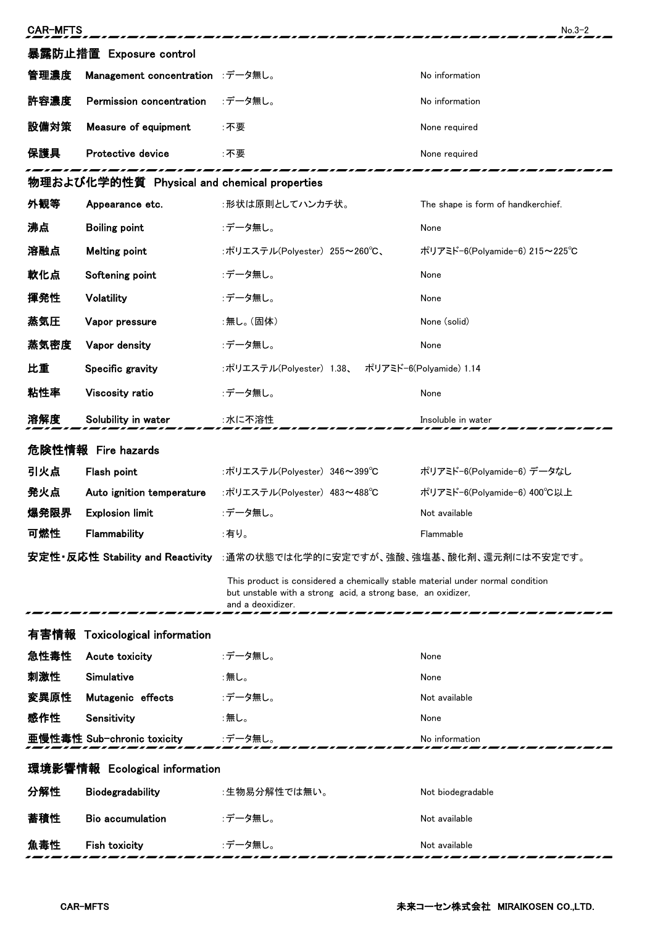| 暴露防止措置 Exposure control<br>管理濃度<br>Management concentration :データ無し。<br>No information<br>許容濃度<br>:データ無し。<br>Permission concentration<br>No information<br>設備対策<br>Measure of equipment<br>:不要<br>None required<br>保護具<br>Protective device<br>:不要<br>None required<br>物理および化学的性質 Physical and chemical properties<br>外観等<br>Appearance etc.<br>:形状は原則としてハンカチ状。<br>The shape is form of handkerchief.<br>沸点<br><b>Boiling point</b><br>:データ無し。<br>None<br>溶融点<br><b>Melting point</b><br>:ポリエステル(Polyester) 255~260℃、<br>ポリアミド-6(Polyamide-6) 215~225℃<br>軟化点<br>:データ無し。<br>Softening point<br>None<br>揮発性<br>Volatility<br>:データ無し。<br>None<br>蒸気圧<br>Vapor pressure<br>:無し。(固体)<br>None (solid)<br>蒸気密度<br>:データ無し。<br>Vapor density<br>None<br>比重<br>Specific gravity<br>:ポリエステル(Polyester) 1.38、<br>ポリアミド-6(Polyamide) 1.14<br>粘性率<br>Viscosity ratio<br>:データ無し。<br>None<br>溶解度<br>Solubility in water<br>:水に不溶性<br>Insoluble in water<br>危険性情報 Fire hazards<br>引火点<br>Flash point<br>ポリアミド-6(Polyamide-6) データなし<br>:ポリエステル(Polyester) 346~399℃<br>発火点<br>Auto ignition temperature<br>:ポリエステル(Polyester) 483~488℃<br>ポリアミド-6(Polyamide-6) 400°C以上<br>爆発限界<br><b>Explosion limit</b><br>:データ無し。<br>Not available<br>可燃性<br>:有り。<br>Flammability<br>Flammable<br>安定性・反応性 Stability and Reactivity :通常の状態では化学的に安定ですが、強酸、強塩基、酸化剤、還元剤には不安定です。<br>This product is considered a chemically stable material under normal condition<br>but unstable with a strong acid, a strong base, an oxidizer,<br>and a deoxidizer.<br>有害情報<br><b>Toxicological information</b><br>急性毒性<br>:データ無し。<br>Acute toxicity<br>None<br>刺激性<br>Simulative<br>:無し。<br>None<br>変異原性<br>Mutagenic effects<br>:データ無し。<br>Not available<br>感作性<br>Sensitivity<br>:無し。<br>None<br>亜慢性毒性 Sub-chronic toxicity<br>:データ無し。<br>No information<br>環境影響情報 Ecological information<br>分解性<br><b>Biodegradability</b><br>:生物易分解性では無い。<br>Not biodegradable<br>蓄積性<br><b>Bio accumulation</b><br>:データ無し。<br>Not available<br><b>Fish toxicity</b><br>:データ無し。<br>魚毒性<br>Not available | <b>CAR-MFTS</b> |  |  | $No.3-2$ |  |  |
|--------------------------------------------------------------------------------------------------------------------------------------------------------------------------------------------------------------------------------------------------------------------------------------------------------------------------------------------------------------------------------------------------------------------------------------------------------------------------------------------------------------------------------------------------------------------------------------------------------------------------------------------------------------------------------------------------------------------------------------------------------------------------------------------------------------------------------------------------------------------------------------------------------------------------------------------------------------------------------------------------------------------------------------------------------------------------------------------------------------------------------------------------------------------------------------------------------------------------------------------------------------------------------------------------------------------------------------------------------------------------------------------------------------------------------------------------------------------------------------------------------------------------------------------------------------------------------------------------------------------------------------------------------------------------------------------------------------------------------------------------------------------------------------------------------------------------------------------------------------------------------------------------------------------------------------------------------------------------------------------------------------------------------------------|-----------------|--|--|----------|--|--|
|                                                                                                                                                                                                                                                                                                                                                                                                                                                                                                                                                                                                                                                                                                                                                                                                                                                                                                                                                                                                                                                                                                                                                                                                                                                                                                                                                                                                                                                                                                                                                                                                                                                                                                                                                                                                                                                                                                                                                                                                                                            |                 |  |  |          |  |  |
|                                                                                                                                                                                                                                                                                                                                                                                                                                                                                                                                                                                                                                                                                                                                                                                                                                                                                                                                                                                                                                                                                                                                                                                                                                                                                                                                                                                                                                                                                                                                                                                                                                                                                                                                                                                                                                                                                                                                                                                                                                            |                 |  |  |          |  |  |
|                                                                                                                                                                                                                                                                                                                                                                                                                                                                                                                                                                                                                                                                                                                                                                                                                                                                                                                                                                                                                                                                                                                                                                                                                                                                                                                                                                                                                                                                                                                                                                                                                                                                                                                                                                                                                                                                                                                                                                                                                                            |                 |  |  |          |  |  |
|                                                                                                                                                                                                                                                                                                                                                                                                                                                                                                                                                                                                                                                                                                                                                                                                                                                                                                                                                                                                                                                                                                                                                                                                                                                                                                                                                                                                                                                                                                                                                                                                                                                                                                                                                                                                                                                                                                                                                                                                                                            |                 |  |  |          |  |  |
|                                                                                                                                                                                                                                                                                                                                                                                                                                                                                                                                                                                                                                                                                                                                                                                                                                                                                                                                                                                                                                                                                                                                                                                                                                                                                                                                                                                                                                                                                                                                                                                                                                                                                                                                                                                                                                                                                                                                                                                                                                            |                 |  |  |          |  |  |
|                                                                                                                                                                                                                                                                                                                                                                                                                                                                                                                                                                                                                                                                                                                                                                                                                                                                                                                                                                                                                                                                                                                                                                                                                                                                                                                                                                                                                                                                                                                                                                                                                                                                                                                                                                                                                                                                                                                                                                                                                                            |                 |  |  |          |  |  |
|                                                                                                                                                                                                                                                                                                                                                                                                                                                                                                                                                                                                                                                                                                                                                                                                                                                                                                                                                                                                                                                                                                                                                                                                                                                                                                                                                                                                                                                                                                                                                                                                                                                                                                                                                                                                                                                                                                                                                                                                                                            |                 |  |  |          |  |  |
|                                                                                                                                                                                                                                                                                                                                                                                                                                                                                                                                                                                                                                                                                                                                                                                                                                                                                                                                                                                                                                                                                                                                                                                                                                                                                                                                                                                                                                                                                                                                                                                                                                                                                                                                                                                                                                                                                                                                                                                                                                            |                 |  |  |          |  |  |
|                                                                                                                                                                                                                                                                                                                                                                                                                                                                                                                                                                                                                                                                                                                                                                                                                                                                                                                                                                                                                                                                                                                                                                                                                                                                                                                                                                                                                                                                                                                                                                                                                                                                                                                                                                                                                                                                                                                                                                                                                                            |                 |  |  |          |  |  |
|                                                                                                                                                                                                                                                                                                                                                                                                                                                                                                                                                                                                                                                                                                                                                                                                                                                                                                                                                                                                                                                                                                                                                                                                                                                                                                                                                                                                                                                                                                                                                                                                                                                                                                                                                                                                                                                                                                                                                                                                                                            |                 |  |  |          |  |  |
|                                                                                                                                                                                                                                                                                                                                                                                                                                                                                                                                                                                                                                                                                                                                                                                                                                                                                                                                                                                                                                                                                                                                                                                                                                                                                                                                                                                                                                                                                                                                                                                                                                                                                                                                                                                                                                                                                                                                                                                                                                            |                 |  |  |          |  |  |
|                                                                                                                                                                                                                                                                                                                                                                                                                                                                                                                                                                                                                                                                                                                                                                                                                                                                                                                                                                                                                                                                                                                                                                                                                                                                                                                                                                                                                                                                                                                                                                                                                                                                                                                                                                                                                                                                                                                                                                                                                                            |                 |  |  |          |  |  |
|                                                                                                                                                                                                                                                                                                                                                                                                                                                                                                                                                                                                                                                                                                                                                                                                                                                                                                                                                                                                                                                                                                                                                                                                                                                                                                                                                                                                                                                                                                                                                                                                                                                                                                                                                                                                                                                                                                                                                                                                                                            |                 |  |  |          |  |  |
|                                                                                                                                                                                                                                                                                                                                                                                                                                                                                                                                                                                                                                                                                                                                                                                                                                                                                                                                                                                                                                                                                                                                                                                                                                                                                                                                                                                                                                                                                                                                                                                                                                                                                                                                                                                                                                                                                                                                                                                                                                            |                 |  |  |          |  |  |
|                                                                                                                                                                                                                                                                                                                                                                                                                                                                                                                                                                                                                                                                                                                                                                                                                                                                                                                                                                                                                                                                                                                                                                                                                                                                                                                                                                                                                                                                                                                                                                                                                                                                                                                                                                                                                                                                                                                                                                                                                                            |                 |  |  |          |  |  |
|                                                                                                                                                                                                                                                                                                                                                                                                                                                                                                                                                                                                                                                                                                                                                                                                                                                                                                                                                                                                                                                                                                                                                                                                                                                                                                                                                                                                                                                                                                                                                                                                                                                                                                                                                                                                                                                                                                                                                                                                                                            |                 |  |  |          |  |  |
|                                                                                                                                                                                                                                                                                                                                                                                                                                                                                                                                                                                                                                                                                                                                                                                                                                                                                                                                                                                                                                                                                                                                                                                                                                                                                                                                                                                                                                                                                                                                                                                                                                                                                                                                                                                                                                                                                                                                                                                                                                            |                 |  |  |          |  |  |
|                                                                                                                                                                                                                                                                                                                                                                                                                                                                                                                                                                                                                                                                                                                                                                                                                                                                                                                                                                                                                                                                                                                                                                                                                                                                                                                                                                                                                                                                                                                                                                                                                                                                                                                                                                                                                                                                                                                                                                                                                                            |                 |  |  |          |  |  |
|                                                                                                                                                                                                                                                                                                                                                                                                                                                                                                                                                                                                                                                                                                                                                                                                                                                                                                                                                                                                                                                                                                                                                                                                                                                                                                                                                                                                                                                                                                                                                                                                                                                                                                                                                                                                                                                                                                                                                                                                                                            |                 |  |  |          |  |  |
|                                                                                                                                                                                                                                                                                                                                                                                                                                                                                                                                                                                                                                                                                                                                                                                                                                                                                                                                                                                                                                                                                                                                                                                                                                                                                                                                                                                                                                                                                                                                                                                                                                                                                                                                                                                                                                                                                                                                                                                                                                            |                 |  |  |          |  |  |
|                                                                                                                                                                                                                                                                                                                                                                                                                                                                                                                                                                                                                                                                                                                                                                                                                                                                                                                                                                                                                                                                                                                                                                                                                                                                                                                                                                                                                                                                                                                                                                                                                                                                                                                                                                                                                                                                                                                                                                                                                                            |                 |  |  |          |  |  |
|                                                                                                                                                                                                                                                                                                                                                                                                                                                                                                                                                                                                                                                                                                                                                                                                                                                                                                                                                                                                                                                                                                                                                                                                                                                                                                                                                                                                                                                                                                                                                                                                                                                                                                                                                                                                                                                                                                                                                                                                                                            |                 |  |  |          |  |  |
|                                                                                                                                                                                                                                                                                                                                                                                                                                                                                                                                                                                                                                                                                                                                                                                                                                                                                                                                                                                                                                                                                                                                                                                                                                                                                                                                                                                                                                                                                                                                                                                                                                                                                                                                                                                                                                                                                                                                                                                                                                            |                 |  |  |          |  |  |
|                                                                                                                                                                                                                                                                                                                                                                                                                                                                                                                                                                                                                                                                                                                                                                                                                                                                                                                                                                                                                                                                                                                                                                                                                                                                                                                                                                                                                                                                                                                                                                                                                                                                                                                                                                                                                                                                                                                                                                                                                                            |                 |  |  |          |  |  |
|                                                                                                                                                                                                                                                                                                                                                                                                                                                                                                                                                                                                                                                                                                                                                                                                                                                                                                                                                                                                                                                                                                                                                                                                                                                                                                                                                                                                                                                                                                                                                                                                                                                                                                                                                                                                                                                                                                                                                                                                                                            |                 |  |  |          |  |  |
|                                                                                                                                                                                                                                                                                                                                                                                                                                                                                                                                                                                                                                                                                                                                                                                                                                                                                                                                                                                                                                                                                                                                                                                                                                                                                                                                                                                                                                                                                                                                                                                                                                                                                                                                                                                                                                                                                                                                                                                                                                            |                 |  |  |          |  |  |
|                                                                                                                                                                                                                                                                                                                                                                                                                                                                                                                                                                                                                                                                                                                                                                                                                                                                                                                                                                                                                                                                                                                                                                                                                                                                                                                                                                                                                                                                                                                                                                                                                                                                                                                                                                                                                                                                                                                                                                                                                                            |                 |  |  |          |  |  |
|                                                                                                                                                                                                                                                                                                                                                                                                                                                                                                                                                                                                                                                                                                                                                                                                                                                                                                                                                                                                                                                                                                                                                                                                                                                                                                                                                                                                                                                                                                                                                                                                                                                                                                                                                                                                                                                                                                                                                                                                                                            |                 |  |  |          |  |  |
|                                                                                                                                                                                                                                                                                                                                                                                                                                                                                                                                                                                                                                                                                                                                                                                                                                                                                                                                                                                                                                                                                                                                                                                                                                                                                                                                                                                                                                                                                                                                                                                                                                                                                                                                                                                                                                                                                                                                                                                                                                            |                 |  |  |          |  |  |
|                                                                                                                                                                                                                                                                                                                                                                                                                                                                                                                                                                                                                                                                                                                                                                                                                                                                                                                                                                                                                                                                                                                                                                                                                                                                                                                                                                                                                                                                                                                                                                                                                                                                                                                                                                                                                                                                                                                                                                                                                                            |                 |  |  |          |  |  |
|                                                                                                                                                                                                                                                                                                                                                                                                                                                                                                                                                                                                                                                                                                                                                                                                                                                                                                                                                                                                                                                                                                                                                                                                                                                                                                                                                                                                                                                                                                                                                                                                                                                                                                                                                                                                                                                                                                                                                                                                                                            |                 |  |  |          |  |  |
|                                                                                                                                                                                                                                                                                                                                                                                                                                                                                                                                                                                                                                                                                                                                                                                                                                                                                                                                                                                                                                                                                                                                                                                                                                                                                                                                                                                                                                                                                                                                                                                                                                                                                                                                                                                                                                                                                                                                                                                                                                            |                 |  |  |          |  |  |
|                                                                                                                                                                                                                                                                                                                                                                                                                                                                                                                                                                                                                                                                                                                                                                                                                                                                                                                                                                                                                                                                                                                                                                                                                                                                                                                                                                                                                                                                                                                                                                                                                                                                                                                                                                                                                                                                                                                                                                                                                                            |                 |  |  |          |  |  |